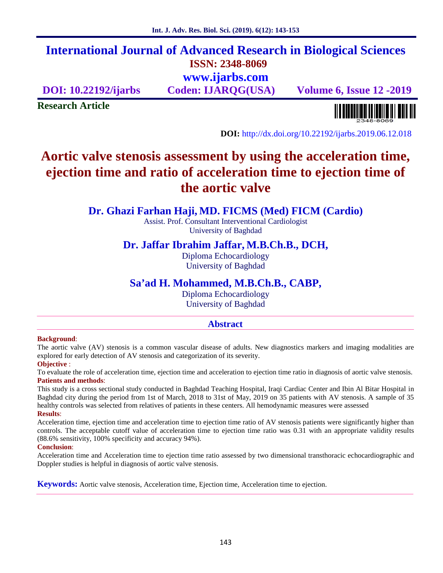# **International Journal of Advanced Research in Biological Sciences ISSN: 2348-8069 www.ijarbs.com**

**DOI: 10.22192/ijarbs Coden: IJARQG(USA) Volume 6, Issue 12 -2019**

**Research Article**

**DOI:** http://dx.doi.org/10.22192/ijarbs.2019.06.12.018

# **Aortic valve stenosis assessment by using the acceleration time, ejection time and ratio of acceleration time to ejection time of the aortic valve**

# **Dr. Ghazi Farhan Haji, MD. FICMS (Med) FICM (Cardio)**

Assist. Prof. Consultant Interventional Cardiologist University of Baghdad

# **Dr. Jaffar Ibrahim Jaffar, M.B.Ch.B., DCH,**

Diploma Echocardiology University of Baghdad

## **Sa'ad H. Mohammed, M.B.Ch.B., CABP,**

Diploma Echocardiology University of Baghdad

## **Abstract**

#### **Background**:

The aortic valve (AV) stenosis is a common vascular disease of adults. New diagnostics markers and imaging modalities are explored for early detection of AV stenosis and categorization of its severity.

#### **Objective** :

To evaluate the role of acceleration time, ejection time and acceleration to ejection time ratio in diagnosis of aortic valve stenosis. **Patients and methods**:

This study is a cross sectional study conducted in Baghdad Teaching Hospital, Iraqi Cardiac Center and Ibin Al Bitar Hospital in Baghdad city during the period from 1st of March, 2018 to 31st of May, 2019 on 35 patients with AV stenosis. A sample of 35 healthy controls was selected from relatives of patients in these centers. All hemodynamic measures were assessed

#### **Results**:

Acceleration time, ejection time and acceleration time to ejection time ratio of AV stenosis patients were significantly higher than controls. The acceptable cutoff value of acceleration time to ejection time ratio was 0.31 with an appropriate validity results (88.6% sensitivity, 100% specificity and accuracy 94%).

#### **Conclusion**:

Acceleration time and Acceleration time to ejection time ratio assessed by two dimensional transthoracic echocardiographic and Doppler studies is helpful in diagnosis of aortic valve stenosis.

**Keywords:** Aortic valve stenosis, Acceleration time, Ejection time, Acceleration time to ejection.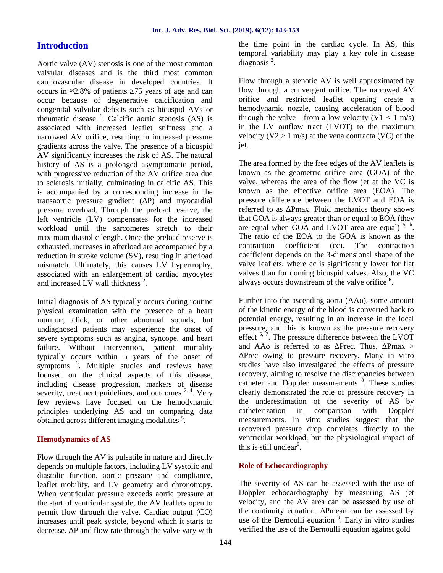## **Introduction**

Aortic valve (AV) stenosis is one of the most common valvular diseases and is the third most common cardiovascular disease in developed countries. It occurs in 2.8% of patients 75 years of age and can occur because of degenerative calcification and congenital valvular defects such as bicuspid AVs or rheumatic disease  $\frac{1}{1}$ . Calcific aortic stenosis (AS) is associated with increased leaflet stiffness and a narrowed AV orifice, resulting in increased pressure gradients across the valve. The presence of a bicuspid AV significantly increases the risk of AS. The natural history of AS is a prolonged asymptomatic period, with progressive reduction of the AV orifice area due to sclerosis initially, culminating in calcific AS. This is accompanied by a corresponding increase in the transaortic pressure gradient (P) and myocardial pressure overload. Through the preload reserve, the left ventricle (LV) compensates for the increased workload until the sarcomeres stretch to their maximum diastolic length. Once the preload reserve is exhausted, increases in afterload are accompanied by a reduction in stroke volume (SV), resulting in afterload mismatch. Ultimately, this causes LV hypertrophy, associated with an enlargement of cardiac myocytes and increased LV wall thickness<sup>2</sup>.

Initial diagnosis of AS typically occurs during routine physical examination with the presence of a heart murmur, click, or other abnormal sounds, but undiagnosed patients may experience the onset of severe symptoms such as angina, syncope, and heart failure. Without intervention, patient mortality typically occurs within 5 years of the onset of symptoms <sup>3</sup>. Multiple studies and reviews have focused on the clinical aspects of this disease, including disease progression, markers of disease severity, treatment guidelines, and outcomes  $2, 4$ . Very few reviews have focused on the hemodynamic the underesting<br>principles underlying AS and on comparing data catheterization principles underlying AS and on comparing data obtained across different imaging modalities <sup>5</sup>.

#### **Hemodynamics of AS**

Flow through the AV is pulsatile in nature and directly depends on multiple factors, including LV systolic and diastolic function, aortic pressure and compliance, leaflet mobility, and LV geometry and chronotropy. When ventricular pressure exceeds aortic pressure at the start of ventricular systole, the AV leaflets open to permit flow through the valve. Cardiac output (CO) increases until peak systole, beyond which it starts to decrease. P and flow rate through the valve vary with the time point in the cardiac cycle. In AS, this temporal variability may play a key role in disease diagnosis  $2$ .

Flow through a stenotic AV is well approximated by flow through a convergent orifice. The narrowed AV orifice and restricted leaflet opening create a hemodynamic nozzle, causing acceleration of blood through the valve—from a low velocity  $(V1 < 1$  m/s) in the LV outflow tract (LVOT) to the maximum velocity  $(V2 > 1$  m/s) at the vena contracta  $(VC)$  of the jet.

The area formed by the free edges of the AV leaflets is known as the geometric orifice area (GOA) of the valve, whereas the area of the flow jet at the VC is known as the effective orifice area (EOA). The pressure difference between the LVOT and EOA is referred to as Pmax. Fluid mechanics theory shows that GOA is always greater than or equal to EOA (they are equal when GOA and LVOT area are equal)  $5, 6$ . The ratio of the EOA to the GOA is known as the coefficient (cc). The contraction coefficient depends on the 3-dimensional shape of the valve leaflets, where cc is significantly lower for flat valves than for doming bicuspid valves. Also, the VC always occurs downstream of the valve orifice <sup>6</sup>.

Further into the ascending aorta (AAo), some amount of the kinetic energy of the blood is converted back to potential energy, resulting in an increase in the local pressure, and this is known as the pressure recovery effect  $5, 7$ . The pressure difference between the LVOT and AAo is referred to as Prec. Thus,  $Pmax >$ Prec owing to pressure recovery. Many in vitro studies have also investigated the effects of pressure recovery, aiming to resolve the discrepancies between catheter and Doppler measurements  $\delta$ . These studies clearly demonstrated the role of pressure recovery in the underestimation of the severity of AS by in comparison with Doppler measurements. In vitro studies suggest that the recovered pressure drop correlates directly to the ventricular workload, but the physiological impact of this is still unclear<sup>8</sup>.

#### **Role of Echocardiography**

The severity of AS can be assessed with the use of Doppler echocardiography by measuring AS jet velocity, and the AV area can be assessed by use of the continuity equation. Pmean can be assessed by use of the Bernoulli equation <sup>9</sup>. Early in vitro studies verified the use of the Bernoulli equation against gold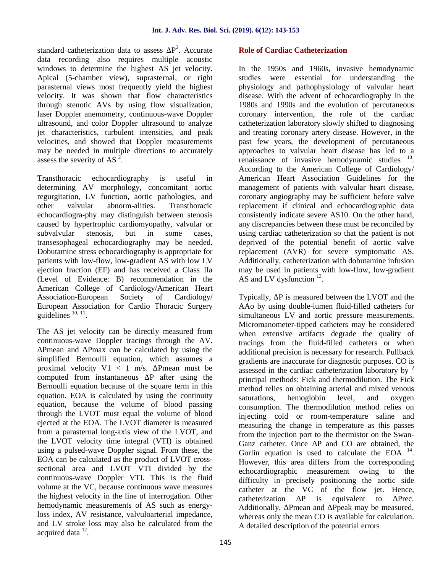standard catheterization data to assess  $P^2$ . Accurate data recording also requires multiple acoustic windows to determine the highest AS jet velocity. Apical (5-chamber view), suprasternal, or right parasternal views most frequently yield the highest velocity. It was shown that flow characteristics through stenotic AVs by using flow visualization, laser Doppler anemometry, continuous-wave Doppler ultrasound, and color Doppler ultrasound to analyze jet characteristics, turbulent intensities, and peak velocities, and showed that Doppler measurements may be needed in multiple directions to accurately assess the severity of AS $^2$ .

Transthoracic echocardiography is useful in determining AV morphology, concomitant aortic regurgitation, LV function, aortic pathologies, and other valvular abnorm-alities. Transthoracic echocardiogra-phy may distinguish between stenosis caused by hypertrophic cardiomyopathy, valvular or subvalvular stenosis, but in some cases, transesophageal echocardiography may be needed. Dobutamine stress echocardiography is appropriate for patients with low-flow, low-gradient AS with low LV ejection fraction (EF) and has received a Class IIa (Level of Evidence: B) recommendation in the American College of Cardiology/American Heart Association-European Society of Cardiology/ European Association for Cardio Thoracic Surgery guidelines  $10, 11$ .

The AS jet velocity can be directly measured from continuous-wave Doppler tracings through the AV. Pmean and Pmax can be calculated by using the simplified Bernoulli equation, which assumes a proximal velocity  $V1 < 1$  m/s. Pmean must be computed from instantaneous P after using the Bernoulli equation because of the square term in this equation. EOA is calculated by using the continuity saturations. equation, because the volume of blood passing through the LVOT must equal the volume of blood ejected at the EOA. The LVOT diameter is measured from a parasternal long-axis view of the LVOT, and the LVOT velocity time integral (VTI) is obtained using a pulsed-wave Doppler signal. From these, the EOA can be calculated as the product of LVOT cross sectional area and LVOT VTI divided by the continuous-wave Doppler VTI. This is the fluid volume at the VC, because continuous wave measures the highest velocity in the line of interrogation. Other hemodynamic measurements of AS such as energyloss index, AV resistance, valvuloarterial impedance, and LV stroke loss may also be calculated from the acquired data <sup>12</sup>.

#### **Role of Cardiac Catheterization**

In the 1950s and 1960s, invasive hemodynamic studies were essential for understanding the physiology and pathophysiology of valvular heart disease. With the advent of echocardiography in the 1980s and 1990s and the evolution of percutaneous coronary intervention, the role of the cardiac catheterization laboratory slowly shifted to diagnosing and treating coronary artery disease. However, in the past few years, the development of percutaneous approaches to valvular heart disease has led to a renaissance of invasive hemodynamic studies <sup>10</sup>. According to the American College of Cardiology/ American Heart Association Guidelines for the management of patients with valvular heart disease, coronary angiography may be sufficient before valve replacement if clinical and echocardiographic data consistently indicate severe AS10. On the other hand, any discrepancies between these must be reconciled by using cardiac catheterization so that the patient is not deprived of the potential benefit of aortic valve replacement (AVR) for severe symptomatic AS. Additionally, catheterization with dobutamine infusion may be used in patients with low-flow, low-gradient AS and LV dysfunction  $^{13}$ .

Typically, P is measured between the LVOT and the AAo by using double-lumen fluid-filled catheters for simultaneous LV and aortic pressure measurements. Micromanometer-tipped catheters may be considered when extensive artifacts degrade the quality of tracings from the fluid-filled catheters or when additional precision is necessary for research. Pullback gradients are inaccurate for diagnostic purposes. CO is assessed in the cardiac catheterization laboratory by  $2$ principal methods: Fick and thermodilution. The Fick method relies on obtaining arterial and mixed venous hemoglobin level, and oxygen consumption. The thermodilution method relies on injecting cold or room-temperature saline and measuring the change in temperature as this passes from the injection port to the thermistor on the Swan- Ganz catheter. Once P and CO are obtained, the Gorlin equation is used to calculate the EOA  $^{14}$ . However, this area differs from the corresponding echocardiographic measurement owing to the difficulty in precisely positioning the aortic side catheter at the VC of the flow jet. Hence, catheterization P is equivalent to Prec. Additionally, Pmean and Ppeak may be measured, whereas only the mean CO is available for calculation. A detailed description of the potential errors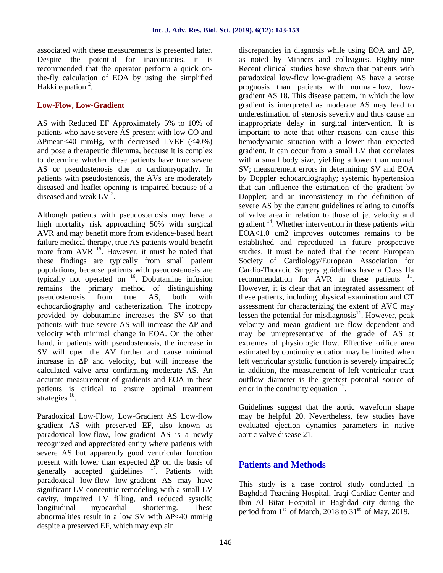associated with these measurements is presented later. Despite the potential for inaccuracies, it is recommended that the operator perform a quick onthe-fly calculation of EOA by using the simplified Hakki equation  $2$ .

#### **Low-Flow, Low-Gradient**

AS with Reduced EF Approximately 5% to 10% of patients who have severe AS present with low CO and Pmean<40 mmHg, with decreased LVEF (<40%) and pose a therapeutic dilemma, because it is complex to determine whether these patients have true severe AS or pseudostenosis due to cardiomyopathy. In patients with pseudostenosis, the AVs are moderately diseased and leaflet opening is impaired because of a diseased and weak  $LV^2$ .

Although patients with pseudostenosis may have a high mortality risk approaching 50% with surgical AVR and may benefit more from evidence-based heart failure medical therapy, true AS patients would benefit more from AVR  $^{15}$ . However, it must be noted that these findings are typically from small patient populations, because patients with pseudostenosis are typically not operated on  $16$ . Dobutamine infusion remains the primary method of distinguishing pseudostenosis from true AS, both with echocardiography and catheterization. The inotropy provided by dobutamine increases the SV so that patients with true severe AS will increase the P and velocity with minimal change in EOA. On the other hand, in patients with pseudostenosis, the increase in SV will open the AV further and cause minimal  $increases$  in  $P$  and velocity, but will increase the calculated valve area confirming moderate AS. An accurate measurement of gradients and EOA in these patients is critical to ensure optimal treatment strategies  $16$ .

Paradoxical Low-Flow, Low-Gradient AS Low-flow gradient AS with preserved EF, also known as paradoxical low-flow, low-gradient AS is a newly recognized and appreciated entity where patients with severe AS but apparently good ventricular function present with lower than expected P on the basis of generally accepted guidelines  $17$ . Patients with paradoxical low-flow low-gradient AS may have significant LV concentric remodeling with a small LV cavity, impaired LV filling, and reduced systolic longitudinal myocardial shortening. These abnormalities result in a low SV with  $P<40$  mmHg despite a preserved EF, which may explain

discrepancies in diagnosis while using EOA and P, as noted by Minners and colleagues. Eighty-nine Recent clinical studies have shown that patients with paradoxical low-flow low-gradient AS have a worse prognosis than patients with normal-flow, low gradient AS 18. This disease pattern, in which the low gradient is interpreted as moderate AS may lead to underestimation of stenosis severity and thus cause an inappropriate delay in surgical intervention. It is important to note that other reasons can cause this hemodynamic situation with a lower than expected gradient. It can occur from a small LV that correlates with a small body size, yielding a lower than normal SV; measurement errors in determining SV and EOA by Doppler echocardiography; systemic hypertension that can influence the estimation of the gradient by Doppler; and an inconsistency in the definition of severe AS by the current guidelines relating to cutoffs of valve area in relation to those of jet velocity and gradient  $14$ . Whether intervention in these patients with EOA<1.0 cm2 improves outcomes remains to be established and reproduced in future prospective studies. It must be noted that the recent European Society of Cardiology/European Association for Cardio-Thoracic Surgery guidelines have a Class IIa recommendation for  $AVR$  in these patients  $11$ . However, it is clear that an integrated assessment of these patients, including physical examination and CT assessment for characterizing the extent of AVC may lessen the potential for misdiagnosis $11$ . However, peak velocity and mean gradient are flow dependent and may be unrepresentative of the grade of AS at extremes of physiologic flow. Effective orifice area estimated by continuity equation may be limited when left ventricular systolic function is severely impaired5; in addition, the measurement of left ventricular tract outflow diameter is the greatest potential source of error in the continuity equation  $19$ .

Guidelines suggest that the aortic waveform shape may be helpful 20. Nevertheless, few studies have evaluated ejection dynamics parameters in native aortic valve disease 21.

## **Patients and Methods**

This study is a case control study conducted in Baghdad Teaching Hospital, Iraqi Cardiac Center and Ibin Al Bitar Hospital in Baghdad city during the period from  $1<sup>st</sup>$  of March, 2018 to 31<sup>st</sup> of May, 2019.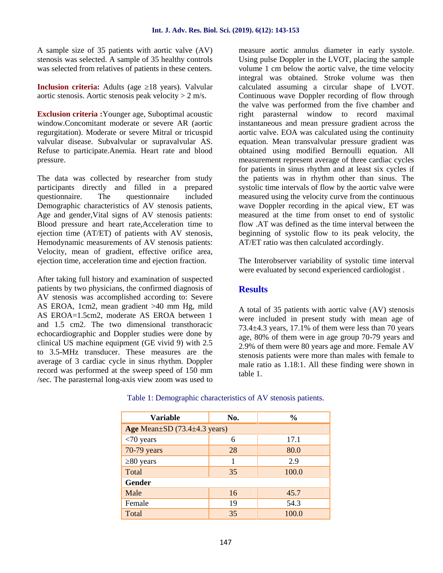A sample size of 35 patients with aortic valve (AV) stenosis was selected. A sample of 35 healthy controls was selected from relatives of patients in these centers.

**Inclusion criteria:** Adults (age 18 years). Valvular aortic stenosis. Aortic stenosis peak velocity > 2 m/s.

**Exclusion criteria :**Younger age, Suboptimal acoustic window.Concomitant moderate or severe AR (aortic regurgitation). Moderate or severe Mitral or tricuspid valvular disease. Subvalvular or supravalvular AS. Refuse to participate.Anemia. Heart rate and blood pressure.

The data was collected by researcher from study participants directly and filled in a prepared questionnaire. The questionnaire included Demographic characteristics of AV stenosis patients, Age and gender,Vital signs of AV stenosis patients: Blood pressure and heart rate,Acceleration time to ejection time (AT/ET) of patients with AV stenosis, Hemodynamic measurements of AV stenosis patients: Velocity, mean of gradient, effective orifice area, ejection time, acceleration time and ejection fraction.

After taking full history and examination of suspected patients by two physicians, the confirmed diagnosis of AV stenosis was accomplished according to: Severe AS EROA, 1cm2, mean gradient >40 mm Hg, mild AS EROA=1.5cm2, moderate AS EROA between 1 and 1.5 cm2. The two dimensional transthoracic echocardiographic and Doppler studies were done by clinical US machine equipment (GE vivid 9) with 2.5 to 3.5-MHz transducer. These measures are the average of 3 cardiac cycle in sinus rhythm. Doppler record was performed at the sweep speed of 150 mm /sec. The parasternal long-axis view zoom was used to

measure aortic annulus diameter in early systole. Using pulse Doppler in the LVOT, placing the sample volume 1 cm below the aortic valve, the time velocity integral was obtained. Stroke volume was then calculated assuming a circular shape of LVOT. Continuous wave Doppler recording of flow through the valve was performed from the five chamber and right parasternal window to record maximal instantaneous and mean pressure gradient across the aortic valve. EOA was calculated using the continuity equation. Mean transvalvular pressure gradient was obtained using modified Bernoulli equation. All measurement represent average of three cardiac cycles for patients in sinus rhythm and at least six cycles if the patients was in rhythm other than sinus. The systolic time intervals of flow by the aortic valve were measured using the velocity curve from the continuous wave Doppler recording in the apical view, ET was measured at the time from onset to end of systolic flow .AT was defined as the time interval between the beginning of systolic flow to its peak velocity, the AT/ET ratio was then calculated accordingly.

The Interobserver variability of systolic time interval were evaluated by second experienced cardiologist .

#### **Results**

A total of 35 patients with aortic valve (AV) stenosis were included in present study with mean age of  $73.4\pm4.3$  years, 17.1% of them were less than 70 years age, 80% of them were in age group 70-79 years and 2.9% of them were 80 years age and more. Female AV stenosis patients were more than males with female to male ratio as 1.18:1. All these finding were shown in table 1.

| <b>Variable</b>                          | No. | $\frac{6}{9}$ |  |
|------------------------------------------|-----|---------------|--|
| Age Mean $\pm$ SD (73.4 $\pm$ 4.3 years) |     |               |  |
| $<$ 70 years                             | 6   | 17.1          |  |
| 70-79 years                              | 28  | 80.0          |  |
| 80 years                                 |     | 2.9           |  |
| Total                                    | 35  | 100.0         |  |
| <b>Gender</b>                            |     |               |  |
| Male                                     | 16  | 45.7          |  |
| Female                                   | 19  | 54.3          |  |
| Total                                    | 35  | 100.0         |  |

Table 1: Demographic characteristics of AV stenosis patients.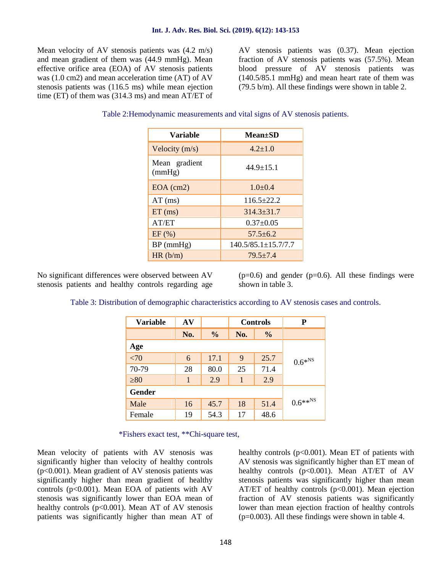Mean velocity of AV stenosis patients was (4.2 m/s) and mean gradient of them was (44.9 mmHg). Mean effective orifice area (EOA) of AV stenosis patients was (1.0 cm2) and mean acceleration time (AT) of AV stenosis patients was (116.5 ms) while mean ejection time (ET) of them was (314.3 ms) and mean AT/ET of AV stenosis patients was (0.37). Mean ejection fraction of AV stenosis patients was (57.5%). Mean blood pressure of AV stenosis patients was (140.5/85.1 mmHg) and mean heart rate of them was (79.5 b/m). All these findings were shown in table 2.

| Table 2: Hemodynamic measurements and vital signs of AV stenosis patients. |  |  |
|----------------------------------------------------------------------------|--|--|
|----------------------------------------------------------------------------|--|--|

| Variable                | <b>Mean</b> ±SD           |
|-------------------------|---------------------------|
| Velocity $(m/s)$        | $4.2 + 1.0$               |
| Mean gradient<br>(mmHg) | $44.9 \pm 15.1$           |
| $EOA$ (cm2)             | $1.0+0.4$                 |
| $AT$ (ms)               | $116.5 \pm 22.2$          |
| $ET$ (ms)               | $314.3 \pm 31.7$          |
| AT/ET                   | $0.37 \pm 0.05$           |
| EF(%)                   | $57.5 + 6.2$              |
| $BP$ (mmHg)             | $140.5/85.1 \pm 15.7/7.7$ |
| HR(b/m)                 | $79.5 \pm 7.4$            |

No significant differences were observed between AV stenosis patients and healthy controls regarding age  $(p=0.6)$  and gender  $(p=0.6)$ . All these findings were shown in table 3.

Table 3: Distribution of demographic characteristics according to AV stenosis cases and controls.

| <b>Variable</b> | AV  |               |     | <b>Controls</b> | P            |
|-----------------|-----|---------------|-----|-----------------|--------------|
|                 | No. | $\frac{0}{0}$ | No. | $\frac{0}{0}$   |              |
| Age             |     |               |     |                 |              |
| <70             | 6   | 17.1          | 9   | 25.7            | $0.6*^{NS}$  |
| 70-79           | 28  | 80.0          | 25  | 71.4            |              |
| 80              | 1   | 2.9           | 1   | 2.9             |              |
| <b>Gender</b>   |     |               |     |                 |              |
| Male            | 16  | 45.7          | 18  | 51.4            | $0.6**^{NS}$ |
| Female          | 19  | 54.3          | 17  | 48.6            |              |

\*Fishers exact test, \*\*Chi-square test,

Mean velocity of patients with AV stenosis was significantly higher than velocity of healthy controls (p<0.001). Mean gradient of AV stenosis patients was significantly higher than mean gradient of healthy controls ( $p<0.001$ ). Mean EOA of patients with AV stenosis was significantly lower than EOA mean of healthy controls  $(p<0.001)$ . Mean AT of AV stenosis patients was significantly higher than mean AT of

healthy controls  $(p<0.001)$ . Mean ET of patients with AV stenosis was significantly higher than ET mean of healthy controls  $(p<0.001)$ . Mean AT/ET of AV stenosis patients was significantly higher than mean AT/ET of healthy controls  $(p<0.001)$ . Mean ejection fraction of AV stenosis patients was significantly lower than mean ejection fraction of healthy controls (p=0.003). All these findings were shown in table 4.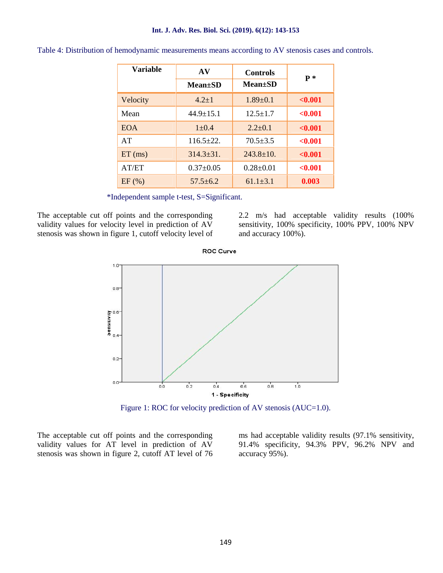#### **Int. J. Adv. Res. Biol. Sci. (2019). 6(12): 143-153**

| <b>Variable</b> | AV              | <b>Controls</b> | $\mathbf{P} *$ |
|-----------------|-----------------|-----------------|----------------|
|                 | <b>Mean</b> ±SD | <b>Mean</b> ±SD |                |
| Velocity        | $4.2 \pm 1$     | $1.89 \pm 0.1$  | < 0.001        |
| Mean            | $44.9 \pm 15.1$ | $12.5 \pm 1.7$  | < 0.001        |
| <b>EOA</b>      | $1 \pm 0.4$     | $2.2+0.1$       | < 0.001        |
| AT              | $116.5 \pm 22.$ | $70.5 \pm 3.5$  | < 0.001        |
| $ET$ (ms)       | $314.3 \pm 31.$ | $243.8 \pm 10.$ | < 0.001        |
| AT/ET           | $0.37 \pm 0.05$ | $0.28 \pm 0.01$ | < 0.001        |
| EF(%)           | $57.5 \pm 6.2$  | $61.1 \pm 3.1$  | 0.003          |

Table 4: Distribution of hemodynamic measurements means according to AV stenosis cases and controls.

\*Independent sample t-test, S=Significant.

The acceptable cut off points and the corresponding validity values for velocity level in prediction of AV stenosis was shown in figure 1, cutoff velocity level of 2.2 m/s had acceptable validity results (100% sensitivity, 100% specificity, 100% PPV, 100% NPV and accuracy 100%).



ROC Curve

Figure 1: ROC for velocity prediction of AV stenosis (AUC=1.0).

The acceptable cut off points and the corresponding validity values for AT level in prediction of AV stenosis was shown in figure 2, cutoff AT level of 76

ms had acceptable validity results (97.1% sensitivity, 91.4% specificity, 94.3% PPV, 96.2% NPV and accuracy 95%).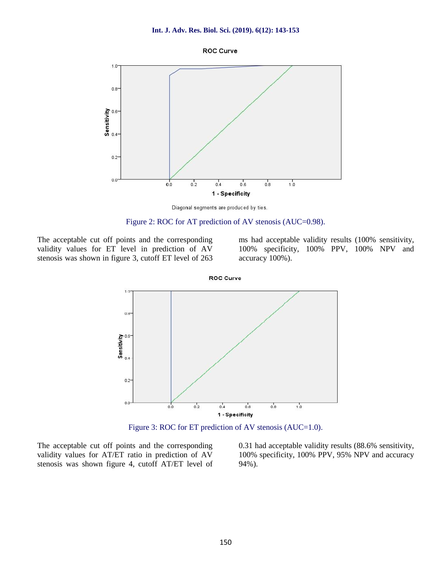#### **Int. J. Adv. Res. Biol. Sci. (2019). 6(12): 143-153**





Diagonal segments are produced by ties.

#### Figure 2: ROC for AT prediction of AV stenosis (AUC=0.98).

The acceptable cut off points and the corresponding validity values for ET level in prediction of AV stenosis was shown in figure 3, cutoff ET level of 263 ms had acceptable validity results (100% sensitivity, 100% specificity, 100% PPV, 100% NPV and accuracy 100%).

ROC Curve



Figure 3: ROC for ET prediction of AV stenosis (AUC=1.0).

The acceptable cut off points and the corresponding validity values for AT/ET ratio in prediction of AV stenosis was shown figure 4, cutoff AT/ET level of 0.31 had acceptable validity results (88.6% sensitivity, 100% specificity, 100% PPV, 95% NPV and accuracy 94%).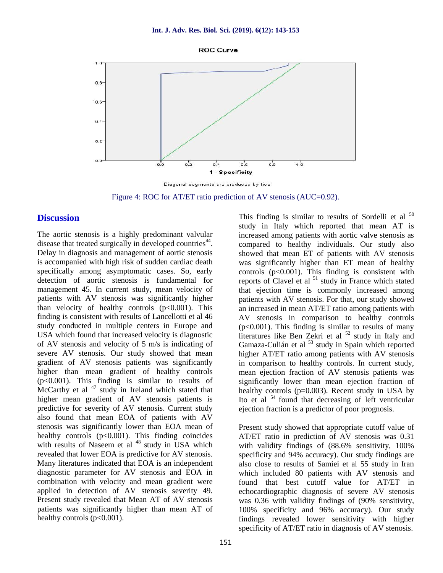



Diagonal segments are produced by ties.

Figure 4: ROC for AT/ET ratio prediction of AV stenosis (AUC=0.92).

#### **Discussion**

The aortic stenosis is a highly predominant valvular disease that treated surgically in developed countries<sup>44</sup>. Delay in diagnosis and management of aortic stenosis is accompanied with high risk of sudden cardiac death specifically among asymptomatic cases. So, early detection of aortic stenosis is fundamental for management 45. In current study, mean velocity of patients with AV stenosis was significantly higher than velocity of healthy controls  $(p<0.001)$ . This finding is consistent with results of Lancellotti et al 46 study conducted in multiple centers in Europe and USA which found that increased velocity is diagnostic of AV stenosis and velocity of 5 m/s is indicating of severe AV stenosis. Our study showed that mean gradient of AV stenosis patients was significantly higher than mean gradient of healthy controls (p<0.001). This finding is similar to results of McCarthy et al  $47$  study in Ireland which stated that higher mean gradient of AV stenosis patients is predictive for severity of AV stenosis. Current study also found that mean EOA of patients with AV stenosis was significantly lower than EOA mean of healthy controls (p<0.001). This finding coincides with results of Naseem et al <sup>48</sup> study in USA which revealed that lower EOA is predictive for AV stenosis. Many literatures indicated that EOA is an independent diagnostic parameter for AV stenosis and EOA in combination with velocity and mean gradient were applied in detection of AV stenosis severity 49. Present study revealed that Mean AT of AV stenosis patients was significantly higher than mean AT of healthy controls  $(p<0.001)$ .

This finding is similar to results of Sordelli et al  $50$ study in Italy which reported that mean AT is increased among patients with aortic valve stenosis as compared to healthy individuals. Our study also showed that mean ET of patients with AV stenosis was significantly higher than ET mean of healthy controls  $(p<0.001)$ . This finding is consistent with reports of Clavel et al  $51$  study in France which stated that ejection time is commonly increased among patients with AV stenosis. For that, our study showed an increased in mean AT/ET ratio among patients with AV stenosis in comparison to healthy controls  $(p<0.001)$ . This finding is similar to results of many literatures like Ben Zekri et al <sup>52</sup> study in Italy and Gamaza-Culián et al <sup>53</sup> study in Spain which reported higher AT/ET ratio among patients with AV stenosis in comparison to healthy controls. In current study, mean ejection fraction of AV stenosis patients was significantly lower than mean ejection fraction of healthy controls ( $p=0.003$ ). Recent study in USA by Ito et al  $54$  found that decreasing of left ventricular ejection fraction is a predictor of poor prognosis.

Present study showed that appropriate cutoff value of AT/ET ratio in prediction of AV stenosis was 0.31 with validity findings of (88.6% sensitivity, 100% specificity and 94% accuracy). Our study findings are also close to results of Samiei et al 55 study in Iran which included 80 patients with AV stenosis and found that best cutoff value for AT/ET in echocardiographic diagnosis of severe AV stenosis was 0.36 with validity findings of (90% sensitivity, 100% specificity and 96% accuracy). Our study findings revealed lower sensitivity with higher specificity of AT/ET ratio in diagnosis of AV stenosis.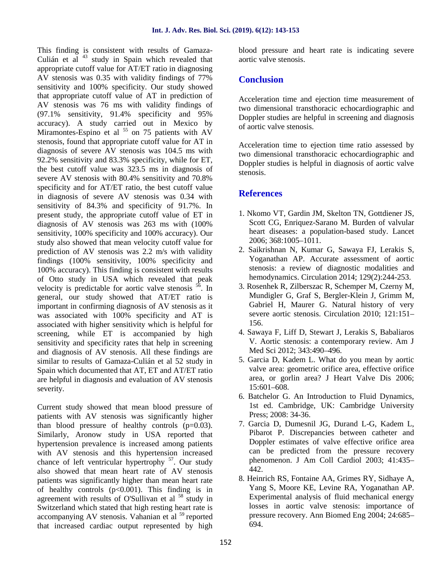This finding is consistent with results of Gamaza- Culián et al  $43$  study in Spain which revealed that appropriate cutoff value for AT/ET ratio in diagnosing AV stenosis was 0.35 with validity findings of 77% sensitivity and 100% specificity. Our study showed that appropriate cutoff value of AT in prediction of AV stenosis was 76 ms with validity findings of (97.1% sensitivity, 91.4% specificity and 95% accuracy). A study carried out in Mexico by Miramontes-Espino et al  $^{55}$  on 75 patients with AV stenosis, found that appropriate cutoff value for AT in diagnosis of severe AV stenosis was 104.5 ms with 92.2% sensitivity and 83.3% specificity, while for ET, the best cutoff value was 323.5 ms in diagnosis of severe AV stenosis with 80.4% sensitivity and 70.8% specificity and for AT/ET ratio, the best cutoff value in diagnosis of severe AV stenosis was 0.34 with sensitivity of 84.3% and specificity of 91.7%. In present study, the appropriate cutoff value of ET in diagnosis of AV stenosis was 263 ms with (100% sensitivity, 100% specificity and 100% accuracy). Our study also showed that mean velocity cutoff value for prediction of AV stenosis was 2.2 m/s with validity findings (100% sensitivity, 100% specificity and 100% accuracy). This finding is consistent with results of Otto study in USA which revealed that peak velocity is predictable for aortic valve stenosis  $56$ . In general, our study showed that AT/ET ratio is important in confirming diagnosis of AV stenosis as it was associated with 100% specificity and AT is associated with higher sensitivity which is helpful for screening, while ET is accompanied by high sensitivity and specificity rates that help in screening and diagnosis of AV stenosis. All these findings are similar to results of Gamaza-Culián et al 52 study in Spain which documented that AT, ET and AT/ET ratio are helpful in diagnosis and evaluation of AV stenosis severity.

Current study showed that mean blood pressure of patients with AV stenosis was significantly higher than blood pressure of healthy controls  $(p=0.03)$ . Similarly, Aronow study in USA reported that hypertension prevalence is increased among patients with AV stenosis and this hypertension increased chance of left ventricular hypertrophy <sup>57</sup>. Our study also showed that mean heart rate of AV stenosis patients was significantly higher than mean heart rate of healthy controls  $(p<0.001)$ . This finding is in agreement with results of O'Sullivan et al <sup>58</sup> study in Switzerland which stated that high resting heart rate is accompanying AV stenosis. Vahanian et al <sup>59</sup> reported that increased cardiac output represented by high

blood pressure and heart rate is indicating severe aortic valve stenosis.

## **Conclusion**

Acceleration time and ejection time measurement of two dimensional transthoracic echocardiographic and Doppler studies are helpful in screening and diagnosis of aortic valve stenosis.

Acceleration time to ejection time ratio assessed by two dimensional transthoracic echocardiographic and Doppler studies is helpful in diagnosis of aortic valve stenosis.

## **References**

- 1. Nkomo VT, Gardin JM, Skelton TN, Gottdiener JS, Scott CG, Enriquez-Sarano M. Burden of valvular heart diseases: a population-based study. Lancet 2006; 368:1005–1011.
- 2. Saikrishnan N, Kumar G, Sawaya FJ, Lerakis S, Yoganathan AP. Accurate assessment of aortic stenosis: a review of diagnostic modalities and hemodynamics. Circulation 2014; 129(2):244-253.
- 3. Rosenhek R, Zilberszac R, Schemper M, Czerny M, Mundigler G, Graf S, Bergler-Klein J, Grimm M, Gabriel H, Maurer G. Natural history of very severe aortic stenosis. Circulation 2010; 121:151– 156.
- 4. Sawaya F, Liff D, Stewart J, Lerakis S, Babaliaros V. Aortic stenosis: a contemporary review. Am J Med Sci 2012; 343:490–496.
- 5. Garcia D, Kadem L. What do you mean by aortic valve area: geometric orifice area, effective orifice area, or gorlin area? J Heart Valve Dis 2006; 15:601–608.
- 6. Batchelor G. An Introduction to Fluid Dynamics, 1st ed. Cambridge, UK: Cambridge University Press; 2008: 34-36.
- 7. Garcia D, Dumesnil JG, Durand L-G, Kadem L, Pibarot P. Discrepancies between catheter and Doppler estimates of valve effective orifice area can be predicted from the pressure recovery phenomenon. J Am Coll Cardiol 2003; 41:435– 442.
- 8. Heinrich RS, Fontaine AA, Grimes RY, Sidhaye A, Yang S, Moore KE, Levine RA, Yoganathan AP. Experimental analysis of fluid mechanical energy losses in aortic valve stenosis: importance of pressure recovery. Ann Biomed Eng 2004; 24:685– 694.